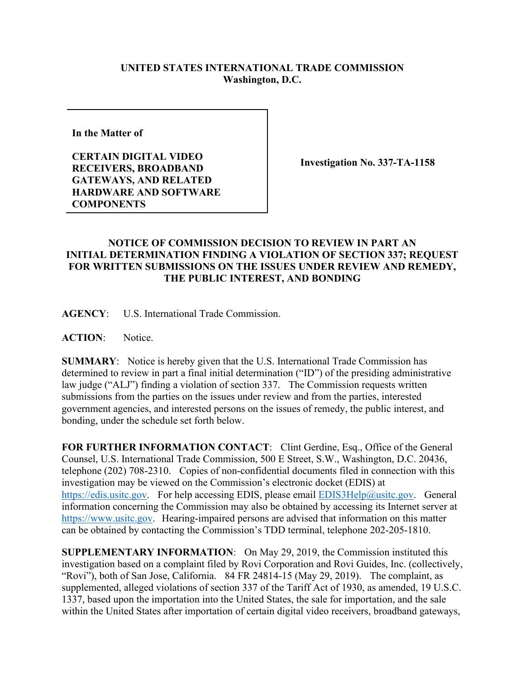## **UNITED STATES INTERNATIONAL TRADE COMMISSION Washington, D.C.**

**In the Matter of** 

**CERTAIN DIGITAL VIDEO RECEIVERS, BROADBAND GATEWAYS, AND RELATED HARDWARE AND SOFTWARE COMPONENTS**

**Investigation No. 337-TA-1158**

## **NOTICE OF COMMISSION DECISION TO REVIEW IN PART AN INITIAL DETERMINATION FINDING A VIOLATION OF SECTION 337; REQUEST FOR WRITTEN SUBMISSIONS ON THE ISSUES UNDER REVIEW AND REMEDY, THE PUBLIC INTEREST, AND BONDING**

**AGENCY**: U.S. International Trade Commission.

**ACTION**: Notice.

**SUMMARY**: Notice is hereby given that the U.S. International Trade Commission has determined to review in part a final initial determination ("ID") of the presiding administrative law judge ("ALJ") finding a violation of section 337. The Commission requests written submissions from the parties on the issues under review and from the parties, interested government agencies, and interested persons on the issues of remedy, the public interest, and bonding, under the schedule set forth below.

**FOR FURTHER INFORMATION CONTACT**: Clint Gerdine, Esq., Office of the General Counsel, U.S. International Trade Commission, 500 E Street, S.W., Washington, D.C. 20436, telephone (202) 708-2310. Copies of non-confidential documents filed in connection with this investigation may be viewed on the Commission's electronic docket (EDIS) at [https://edis.usitc.gov.](https://edis.usitc.gov/) For help accessing EDIS, please email [EDIS3Help@usitc.gov.](mailto:EDIS3Help@usitc.gov) General information concerning the Commission may also be obtained by accessing its Internet server at [https://www.usitc.gov.](https://www.usitc.gov/) Hearing-impaired persons are advised that information on this matter can be obtained by contacting the Commission's TDD terminal, telephone 202-205-1810.

**SUPPLEMENTARY INFORMATION**: On May 29, 2019, the Commission instituted this investigation based on a complaint filed by Rovi Corporation and Rovi Guides, Inc. (collectively, "Rovi"), both of San Jose, California. 84 FR 24814-15 (May 29, 2019). The complaint, as supplemented, alleged violations of section 337 of the Tariff Act of 1930, as amended, 19 U.S.C. 1337, based upon the importation into the United States, the sale for importation, and the sale within the United States after importation of certain digital video receivers, broadband gateways,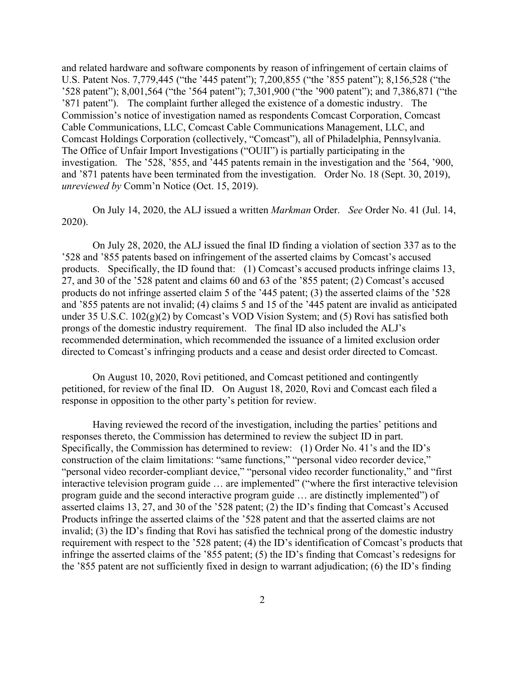and related hardware and software components by reason of infringement of certain claims of U.S. Patent Nos. 7,779,445 ("the '445 patent"); 7,200,855 ("the '855 patent"); 8,156,528 ("the '528 patent"); 8,001,564 ("the '564 patent"); 7,301,900 ("the '900 patent"); and 7,386,871 ("the '871 patent").The complaint further alleged the existence of a domestic industry. The Commission's notice of investigation named as respondents Comcast Corporation, Comcast Cable Communications, LLC, Comcast Cable Communications Management, LLC, and Comcast Holdings Corporation (collectively, "Comcast"), all of Philadelphia, Pennsylvania. The Office of Unfair Import Investigations ("OUII") is partially participating in the investigation. The '528, '855, and '445 patents remain in the investigation and the '564, '900, and '871 patents have been terminated from the investigation. Order No. 18 (Sept. 30, 2019), *unreviewed by* Comm'n Notice (Oct. 15, 2019).

On July 14, 2020, the ALJ issued a written *Markman* Order. *See* Order No. 41 (Jul. 14, 2020).

On July 28, 2020, the ALJ issued the final ID finding a violation of section 337 as to the '528 and '855 patents based on infringement of the asserted claims by Comcast's accused products. Specifically, the ID found that: (1) Comcast's accused products infringe claims 13, 27, and 30 of the '528 patent and claims 60 and 63 of the '855 patent; (2) Comcast's accused products do not infringe asserted claim 5 of the '445 patent; (3) the asserted claims of the '528 and '855 patents are not invalid; (4) claims 5 and 15 of the '445 patent are invalid as anticipated under 35 U.S.C.  $102(g)(2)$  by Comcast's VOD Vision System; and (5) Rovi has satisfied both prongs of the domestic industry requirement. The final ID also included the ALJ's recommended determination, which recommended the issuance of a limited exclusion order directed to Comcast's infringing products and a cease and desist order directed to Comcast.

On August 10, 2020, Rovi petitioned, and Comcast petitioned and contingently petitioned, for review of the final ID. On August 18, 2020, Rovi and Comcast each filed a response in opposition to the other party's petition for review.

Having reviewed the record of the investigation, including the parties' petitions and responses thereto, the Commission has determined to review the subject ID in part. Specifically, the Commission has determined to review: (1) Order No. 41's and the ID's construction of the claim limitations: "same functions," "personal video recorder device," "personal video recorder-compliant device," "personal video recorder functionality," and "first interactive television program guide … are implemented" ("where the first interactive television program guide and the second interactive program guide … are distinctly implemented") of asserted claims 13, 27, and 30 of the '528 patent; (2) the ID's finding that Comcast's Accused Products infringe the asserted claims of the '528 patent and that the asserted claims are not invalid; (3) the ID's finding that Rovi has satisfied the technical prong of the domestic industry requirement with respect to the '528 patent; (4) the ID's identification of Comcast's products that infringe the asserted claims of the '855 patent; (5) the ID's finding that Comcast's redesigns for the '855 patent are not sufficiently fixed in design to warrant adjudication; (6) the ID's finding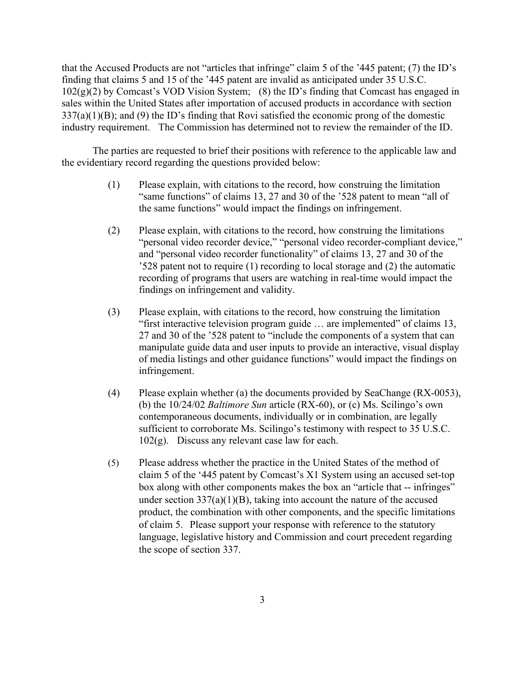that the Accused Products are not "articles that infringe" claim 5 of the '445 patent; (7) the ID's finding that claims 5 and 15 of the '445 patent are invalid as anticipated under 35 U.S.C.  $102(g)(2)$  by Comcast's VOD Vision System; (8) the ID's finding that Comcast has engaged in sales within the United States after importation of accused products in accordance with section 337(a)(1)(B); and (9) the ID's finding that Rovi satisfied the economic prong of the domestic industry requirement. The Commission has determined not to review the remainder of the ID.

The parties are requested to brief their positions with reference to the applicable law and the evidentiary record regarding the questions provided below:

- (1) Please explain, with citations to the record, how construing the limitation "same functions" of claims 13, 27 and 30 of the '528 patent to mean "all of the same functions" would impact the findings on infringement.
- (2) Please explain, with citations to the record, how construing the limitations "personal video recorder device," "personal video recorder-compliant device," and "personal video recorder functionality" of claims 13, 27 and 30 of the '528 patent not to require (1) recording to local storage and (2) the automatic recording of programs that users are watching in real-time would impact the findings on infringement and validity.
- (3) Please explain, with citations to the record, how construing the limitation "first interactive television program guide … are implemented" of claims 13, 27 and 30 of the '528 patent to "include the components of a system that can manipulate guide data and user inputs to provide an interactive, visual display of media listings and other guidance functions" would impact the findings on infringement.
- (4) Please explain whether (a) the documents provided by SeaChange (RX-0053), (b) the 10/24/02 *Baltimore Sun* article (RX-60), or (c) Ms. Scilingo's own contemporaneous documents, individually or in combination, are legally sufficient to corroborate Ms. Scilingo's testimony with respect to 35 U.S.C.  $102(g)$ . Discuss any relevant case law for each.
- (5) Please address whether the practice in the United States of the method of claim 5 of the '445 patent by Comcast's X1 System using an accused set-top box along with other components makes the box an "article that -- infringes" under section  $337(a)(1)(B)$ , taking into account the nature of the accused product, the combination with other components, and the specific limitations of claim 5. Please support your response with reference to the statutory language, legislative history and Commission and court precedent regarding the scope of section 337.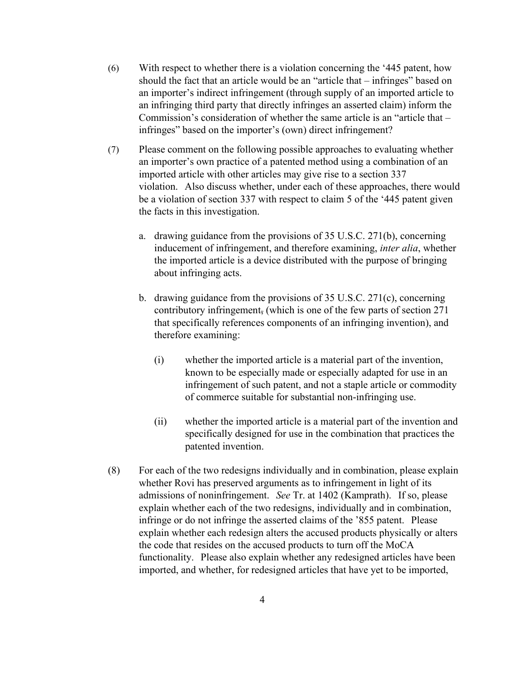- (6) With respect to whether there is a violation concerning the '445 patent, how should the fact that an article would be an "article that – infringes" based on an importer's indirect infringement (through supply of an imported article to an infringing third party that directly infringes an asserted claim) inform the Commission's consideration of whether the same article is an "article that – infringes" based on the importer's (own) direct infringement?
- (7) Please comment on the following possible approaches to evaluating whether an importer's own practice of a patented method using a combination of an imported article with other articles may give rise to a section 337 violation. Also discuss whether, under each of these approaches, there would be a violation of section 337 with respect to claim 5 of the '445 patent given the facts in this investigation.
	- a. drawing guidance from the provisions of 35 U.S.C. 271(b), concerning inducement of infringement, and therefore examining, *inter alia*, whether the imported article is a device distributed with the purpose of bringing about infringing acts.
	- b. drawing guidance from the provisions of 35 U.S.C. 271(c), concerning contributory infringement, (which is one of the few parts of section 271 that specifically references components of an infringing invention), and therefore examining:
		- (i) whether the imported article is a material part of the invention, known to be especially made or especially adapted for use in an infringement of such patent, and not a staple article or commodity of commerce suitable for substantial non-infringing use.
		- (ii) whether the imported article is a material part of the invention and specifically designed for use in the combination that practices the patented invention.
- (8) For each of the two redesigns individually and in combination, please explain whether Rovi has preserved arguments as to infringement in light of its admissions of noninfringement. *See* Tr. at 1402 (Kamprath). If so, please explain whether each of the two redesigns, individually and in combination, infringe or do not infringe the asserted claims of the '855 patent. Please explain whether each redesign alters the accused products physically or alters the code that resides on the accused products to turn off the MoCA functionality. Please also explain whether any redesigned articles have been imported, and whether, for redesigned articles that have yet to be imported,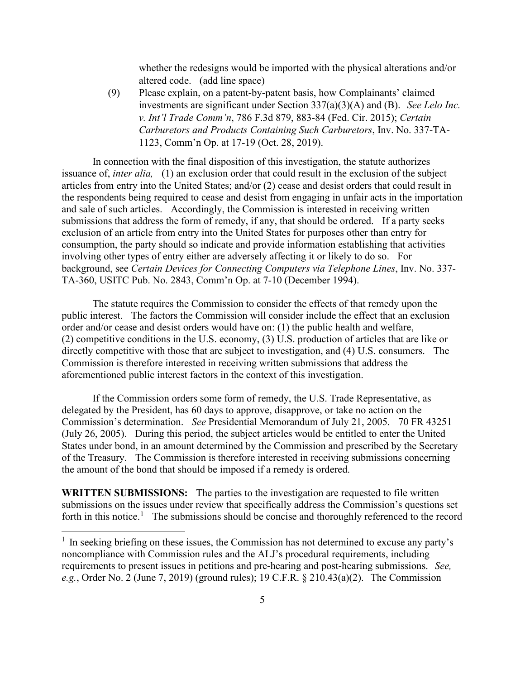whether the redesigns would be imported with the physical alterations and/or altered code. (add line space)

(9) Please explain, on a patent-by-patent basis, how Complainants' claimed investments are significant under Section 337(a)(3)(A) and (B). *See Lelo Inc. v. Int'l Trade Comm'n*, 786 F.3d 879, 883-84 (Fed. Cir. 2015); *Certain Carburetors and Products Containing Such Carburetors*, Inv. No. 337-TA-1123, Comm'n Op. at 17-19 (Oct. 28, 2019).

In connection with the final disposition of this investigation, the statute authorizes issuance of, *inter alia,* (1) an exclusion order that could result in the exclusion of the subject articles from entry into the United States; and/or (2) cease and desist orders that could result in the respondents being required to cease and desist from engaging in unfair acts in the importation and sale of such articles. Accordingly, the Commission is interested in receiving written submissions that address the form of remedy, if any, that should be ordered. If a party seeks exclusion of an article from entry into the United States for purposes other than entry for consumption, the party should so indicate and provide information establishing that activities involving other types of entry either are adversely affecting it or likely to do so. For background, see *Certain Devices for Connecting Computers via Telephone Lines*, Inv. No. 337- TA-360, USITC Pub. No. 2843, Comm'n Op. at 7-10 (December 1994).

The statute requires the Commission to consider the effects of that remedy upon the public interest. The factors the Commission will consider include the effect that an exclusion order and/or cease and desist orders would have on: (1) the public health and welfare, (2) competitive conditions in the U.S. economy, (3) U.S. production of articles that are like or directly competitive with those that are subject to investigation, and (4) U.S. consumers. The Commission is therefore interested in receiving written submissions that address the aforementioned public interest factors in the context of this investigation.

If the Commission orders some form of remedy, the U.S. Trade Representative, as delegated by the President, has 60 days to approve, disapprove, or take no action on the Commission's determination. *See* Presidential Memorandum of July 21, 2005. 70 FR 43251 (July 26, 2005). During this period, the subject articles would be entitled to enter the United States under bond, in an amount determined by the Commission and prescribed by the Secretary of the Treasury. The Commission is therefore interested in receiving submissions concerning the amount of the bond that should be imposed if a remedy is ordered.

**WRITTEN SUBMISSIONS:** The parties to the investigation are requested to file written submissions on the issues under review that specifically address the Commission's questions set forth in this notice.<sup>[1](#page-4-0)</sup> The submissions should be concise and thoroughly referenced to the record

<span id="page-4-0"></span> $<sup>1</sup>$  In seeking briefing on these issues, the Commission has not determined to excuse any party's</sup> noncompliance with Commission rules and the ALJ's procedural requirements, including requirements to present issues in petitions and pre-hearing and post-hearing submissions. *See, e.g.*, Order No. 2 (June 7, 2019) (ground rules); 19 C.F.R. § 210.43(a)(2). The Commission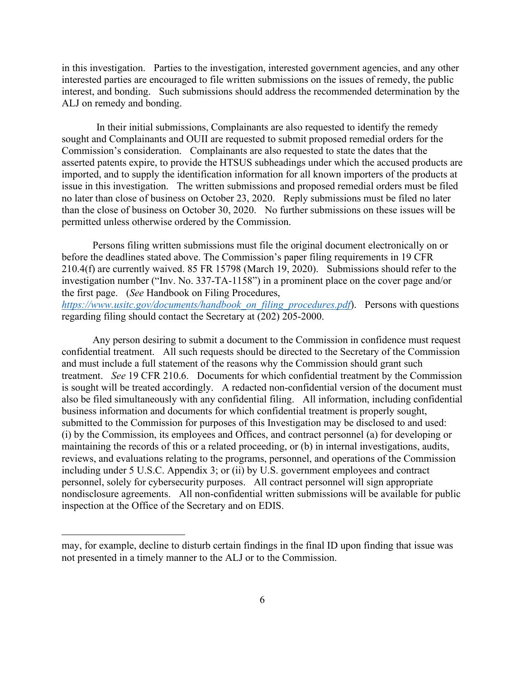in this investigation. Parties to the investigation, interested government agencies, and any other interested parties are encouraged to file written submissions on the issues of remedy, the public interest, and bonding. Such submissions should address the recommended determination by the ALJ on remedy and bonding.

In their initial submissions, Complainants are also requested to identify the remedy sought and Complainants and OUII are requested to submit proposed remedial orders for the Commission's consideration. Complainants are also requested to state the dates that the asserted patents expire, to provide the HTSUS subheadings under which the accused products are imported, and to supply the identification information for all known importers of the products at issue in this investigation. The written submissions and proposed remedial orders must be filed no later than close of business on October 23, 2020. Reply submissions must be filed no later than the close of business on October 30, 2020. No further submissions on these issues will be permitted unless otherwise ordered by the Commission.

Persons filing written submissions must file the original document electronically on or before the deadlines stated above. The Commission's paper filing requirements in 19 CFR 210.4(f) are currently waived. 85 FR 15798 (March 19, 2020). Submissions should refer to the investigation number ("Inv. No. 337-TA-1158") in a prominent place on the cover page and/or the first page. (*See* Handbook on Filing Procedures,

*[https://www.usitc.gov/documents/handbook\\_on\\_filing\\_procedures.pdf](https://www.usitc.gov/documents/handbook_on_filing_procedures.pdf)*). Persons with questions regarding filing should contact the Secretary at (202) 205-2000.

Any person desiring to submit a document to the Commission in confidence must request confidential treatment. All such requests should be directed to the Secretary of the Commission and must include a full statement of the reasons why the Commission should grant such treatment. *See* 19 CFR 210.6. Documents for which confidential treatment by the Commission is sought will be treated accordingly. A redacted non-confidential version of the document must also be filed simultaneously with any confidential filing. All information, including confidential business information and documents for which confidential treatment is properly sought, submitted to the Commission for purposes of this Investigation may be disclosed to and used: (i) by the Commission, its employees and Offices, and contract personnel (a) for developing or maintaining the records of this or a related proceeding, or (b) in internal investigations, audits, reviews, and evaluations relating to the programs, personnel, and operations of the Commission including under 5 U.S.C. Appendix 3; or (ii) by U.S. government employees and contract personnel, solely for cybersecurity purposes. All contract personnel will sign appropriate nondisclosure agreements. All non-confidential written submissions will be available for public inspection at the Office of the Secretary and on EDIS.

may, for example, decline to disturb certain findings in the final ID upon finding that issue was not presented in a timely manner to the ALJ or to the Commission.